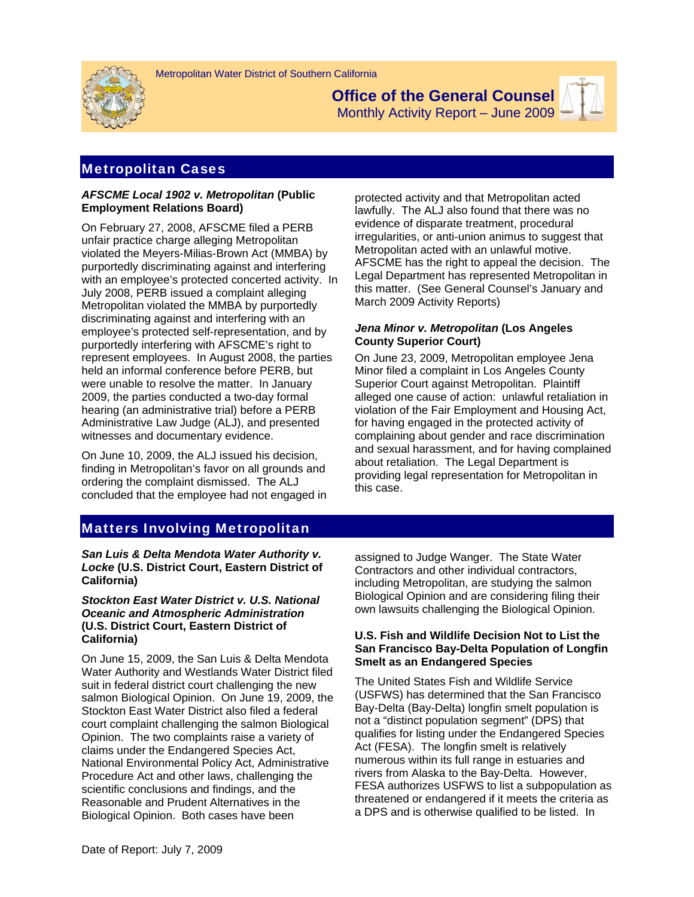



**Office of the General Counsel**  Monthly Activity Report – June 2009



# Metropolitan Cases

### *AFSCME Local 1902 v. Metropolitan* **(Public Employment Relations Board)**

On February 27, 2008, AFSCME filed a PERB unfair practice charge alleging Metropolitan violated the Meyers-Milias-Brown Act (MMBA) by purportedly discriminating against and interfering with an employee's protected concerted activity. In July 2008, PERB issued a complaint alleging Metropolitan violated the MMBA by purportedly discriminating against and interfering with an employee's protected self-representation, and by purportedly interfering with AFSCME's right to represent employees. In August 2008, the parties held an informal conference before PERB, but were unable to resolve the matter. In January 2009, the parties conducted a two-day formal hearing (an administrative trial) before a PERB Administrative Law Judge (ALJ), and presented witnesses and documentary evidence.

On June 10, 2009, the ALJ issued his decision, finding in Metropolitan's favor on all grounds and ordering the complaint dismissed. The ALJ concluded that the employee had not engaged in protected activity and that Metropolitan acted lawfully. The ALJ also found that there was no evidence of disparate treatment, procedural irregularities, or anti-union animus to suggest that Metropolitan acted with an unlawful motive. AFSCME has the right to appeal the decision. The Legal Department has represented Metropolitan in this matter. (See General Counsel's January and March 2009 Activity Reports)

## *Jena Minor v. Metropolitan* **(Los Angeles County Superior Court)**

On June 23, 2009, Metropolitan employee Jena Minor filed a complaint in Los Angeles County Superior Court against Metropolitan. Plaintiff alleged one cause of action: unlawful retaliation in violation of the Fair Employment and Housing Act, for having engaged in the protected activity of complaining about gender and race discrimination and sexual harassment, and for having complained about retaliation. The Legal Department is providing legal representation for Metropolitan in this case.

# Matters Involving Metropolitan

*San Luis & Delta Mendota Water Authority v. Locke* **(U.S. District Court, Eastern District of California)**

#### *Stockton East Water District v. U.S. National Oceanic and Atmospheric Administration*  **(U.S. District Court, Eastern District of California)**

On June 15, 2009, the San Luis & Delta Mendota Water Authority and Westlands Water District filed suit in federal district court challenging the new salmon Biological Opinion. On June 19, 2009, the Stockton East Water District also filed a federal court complaint challenging the salmon Biological Opinion. The two complaints raise a variety of claims under the Endangered Species Act, National Environmental Policy Act, Administrative Procedure Act and other laws, challenging the scientific conclusions and findings, and the Reasonable and Prudent Alternatives in the Biological Opinion. Both cases have been

assigned to Judge Wanger. The State Water Contractors and other individual contractors, including Metropolitan, are studying the salmon Biological Opinion and are considering filing their own lawsuits challenging the Biological Opinion.

## **U.S. Fish and Wildlife Decision Not to List the San Francisco Bay-Delta Population of Longfin Smelt as an Endangered Species**

The United States Fish and Wildlife Service (USFWS) has determined that the San Francisco Bay-Delta (Bay-Delta) longfin smelt population is not a "distinct population segment" (DPS) that qualifies for listing under the Endangered Species Act (FESA). The longfin smelt is relatively numerous within its full range in estuaries and rivers from Alaska to the Bay-Delta. However, FESA authorizes USFWS to list a subpopulation as threatened or endangered if it meets the criteria as a DPS and is otherwise qualified to be listed. In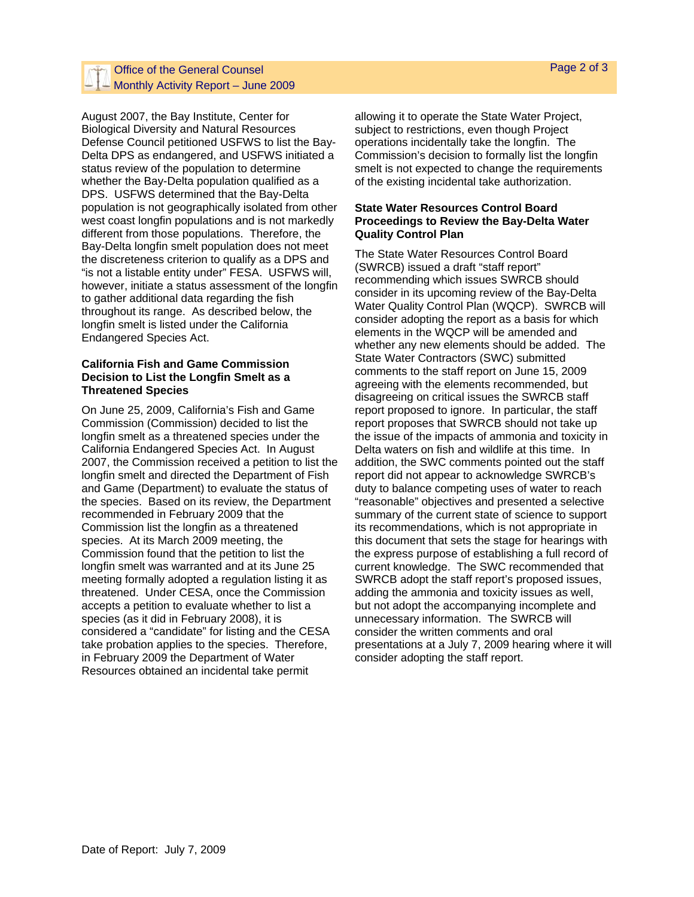## Office of the General Counsel  $-$  Monthly Activity Report – June 2009

August 2007, the Bay Institute, Center for Biological Diversity and Natural Resources Defense Council petitioned USFWS to list the Bay-Delta DPS as endangered, and USFWS initiated a status review of the population to determine whether the Bay-Delta population qualified as a DPS. USFWS determined that the Bay-Delta population is not geographically isolated from other west coast longfin populations and is not markedly different from those populations. Therefore, the Bay-Delta longfin smelt population does not meet the discreteness criterion to qualify as a DPS and "is not a listable entity under" FESA. USFWS will, however, initiate a status assessment of the longfin to gather additional data regarding the fish throughout its range. As described below, the longfin smelt is listed under the California Endangered Species Act.

#### **California Fish and Game Commission Decision to List the Longfin Smelt as a Threatened Species**

On June 25, 2009, California's Fish and Game Commission (Commission) decided to list the longfin smelt as a threatened species under the California Endangered Species Act. In August 2007, the Commission received a petition to list the longfin smelt and directed the Department of Fish and Game (Department) to evaluate the status of the species. Based on its review, the Department recommended in February 2009 that the Commission list the longfin as a threatened species. At its March 2009 meeting, the Commission found that the petition to list the longfin smelt was warranted and at its June 25 meeting formally adopted a regulation listing it as threatened. Under CESA, once the Commission accepts a petition to evaluate whether to list a species (as it did in February 2008), it is considered a "candidate" for listing and the CESA take probation applies to the species. Therefore, in February 2009 the Department of Water Resources obtained an incidental take permit

allowing it to operate the State Water Project, subject to restrictions, even though Project operations incidentally take the longfin. The Commission's decision to formally list the longfin smelt is not expected to change the requirements of the existing incidental take authorization.

### **State Water Resources Control Board Proceedings to Review the Bay-Delta Water Quality Control Plan**

The State Water Resources Control Board (SWRCB) issued a draft "staff report" recommending which issues SWRCB should consider in its upcoming review of the Bay-Delta Water Quality Control Plan (WQCP). SWRCB will consider adopting the report as a basis for which elements in the WQCP will be amended and whether any new elements should be added. The State Water Contractors (SWC) submitted comments to the staff report on June 15, 2009 agreeing with the elements recommended, but disagreeing on critical issues the SWRCB staff report proposed to ignore. In particular, the staff report proposes that SWRCB should not take up the issue of the impacts of ammonia and toxicity in Delta waters on fish and wildlife at this time. In addition, the SWC comments pointed out the staff report did not appear to acknowledge SWRCB's duty to balance competing uses of water to reach "reasonable" objectives and presented a selective summary of the current state of science to support its recommendations, which is not appropriate in this document that sets the stage for hearings with the express purpose of establishing a full record of current knowledge. The SWC recommended that SWRCB adopt the staff report's proposed issues, adding the ammonia and toxicity issues as well, but not adopt the accompanying incomplete and unnecessary information. The SWRCB will consider the written comments and oral presentations at a July 7, 2009 hearing where it will consider adopting the staff report.